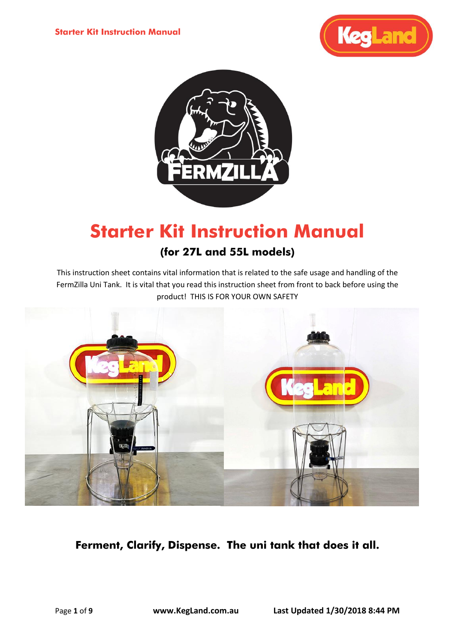



# **Starter Kit Instruction Manual**

# **(for 27L and 55L models)**

This instruction sheet contains vital information that is related to the safe usage and handling of the FermZilla Uni Tank. It is vital that you read this instruction sheet from front to back before using the product! THIS IS FOR YOUR OWN SAFETY



**Ferment, Clarify, Dispense. The uni tank that does it all.**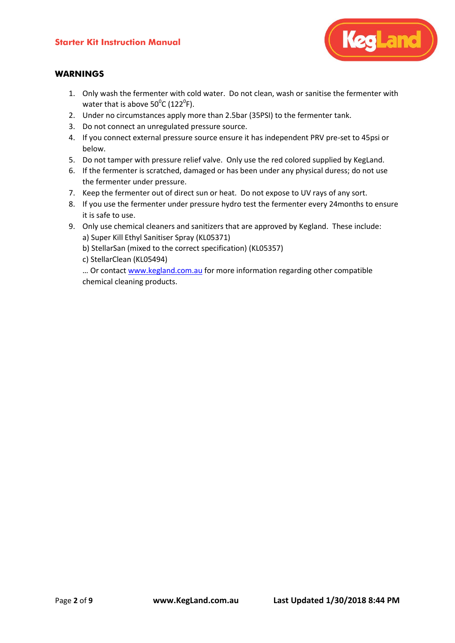

# **WARNINGS**

- 1. Only wash the fermenter with cold water. Do not clean, wash or sanitise the fermenter with water that is above  $50^{\circ}$ C (122 $^{\circ}$ F).
- 2. Under no circumstances apply more than 2.5bar (35PSI) to the fermenter tank.
- 3. Do not connect an unregulated pressure source.
- 4. If you connect external pressure source ensure it has independent PRV pre-set to 45psi or below.
- 5. Do not tamper with pressure relief valve. Only use the red colored supplied by KegLand.
- 6. If the fermenter is scratched, damaged or has been under any physical duress; do not use the fermenter under pressure.
- 7. Keep the fermenter out of direct sun or heat. Do not expose to UV rays of any sort.
- 8. If you use the fermenter under pressure hydro test the fermenter every 24months to ensure it is safe to use.
- 9. Only use chemical cleaners and sanitizers that are approved by Kegland. These include: a) Super Kill Ethyl Sanitiser Spray (KL05371)
	- b) StellarSan (mixed to the correct specification) (KL05357)
	- c) StellarClean (KL05494)

... Or contact www.kegland.com.au for more information regarding other compatible chemical cleaning products.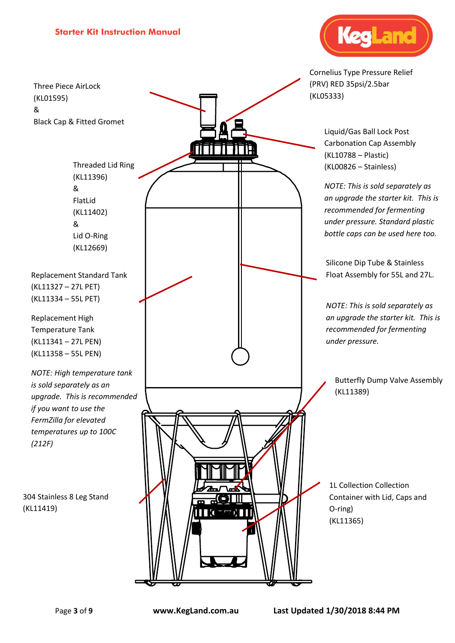Three Piece AirLock (KL01595) & Black Cap & Fitted Gromet

> Threaded Lid Ring (KL11396) & FlatLid (KL11402) & Lid O-Ring (KL12669)

Replacement Standard Tank (KL11327 – 27L PET) (KL11334 – 55L PET)

Replacement High Temperature Tank (KL11341 – 27L PEN) (KL11358 – 55L PEN)

*NOTE: High temperature tank is sold separately as an upgrade. This is recommended if you want to use the FermZilla for elevated temperatures up to 100C (212F)*

304 Stainless 8 Leg Stand (KL11419)





Cornelius Type Pressure Relief (PRV) RED 35psi/2.5bar

> Liquid/Gas Ball Lock Post Carbonation Cap Assembly (KL10788 – Plastic) (KL00826 – Stainless)

*NOTE: This is sold separately as an upgrade the starter kit. This is recommended for fermenting under pressure. Standard plastic bottle caps can be used here too.*

Silicone Dip Tube & Stainless Float Assembly for 55L and 27L.

*NOTE: This is sold separately as an upgrade the starter kit. This is recommended for fermenting under pressure.*

Butterfly Dump Valve Assembly (KL11389)

1L Collection Collection Container with Lid, Caps and O-ring) (KL11365)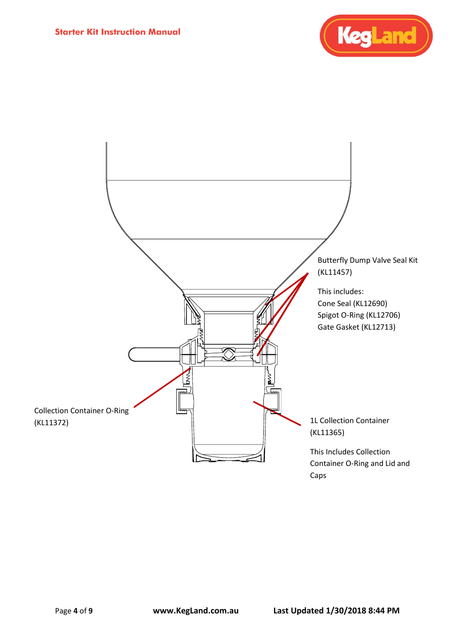

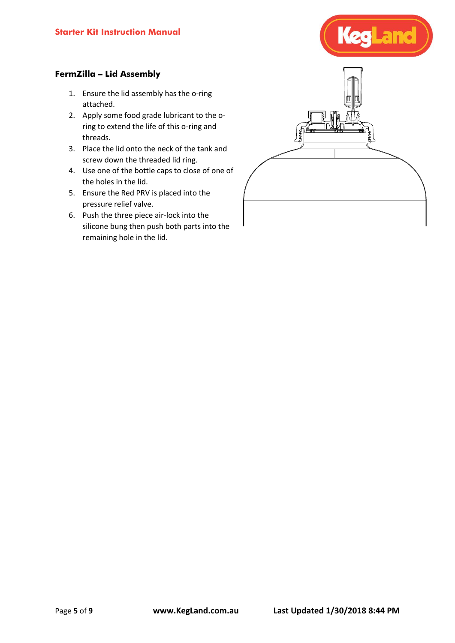

# **FermZilla – Lid Assembly**

- 1. Ensure the lid assembly has the o-ring attached.
- 2. Apply some food grade lubricant to the oring to extend the life of this o-ring and threads.
- 3. Place the lid onto the neck of the tank and screw down the threaded lid ring.
- 4. Use one of the bottle caps to close of one of the holes in the lid.
- 5. Ensure the Red PRV is placed into the pressure relief valve.
- 6. Push the three piece air-lock into the silicone bung then push both parts into the remaining hole in the lid.

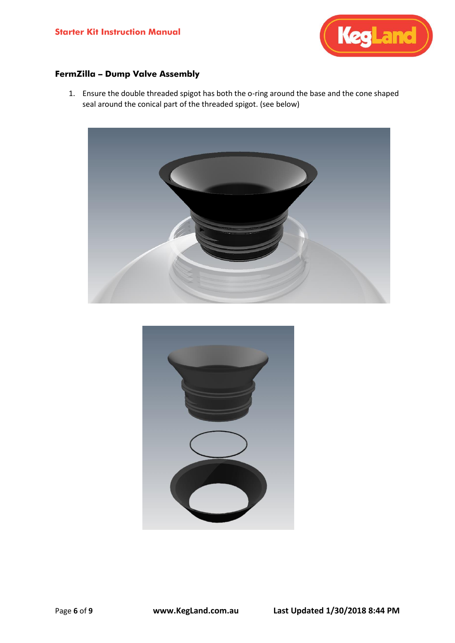

# **FermZilla – Dump Valve Assembly**

1. Ensure the double threaded spigot has both the o-ring around the base and the cone shaped seal around the conical part of the threaded spigot. (see below)



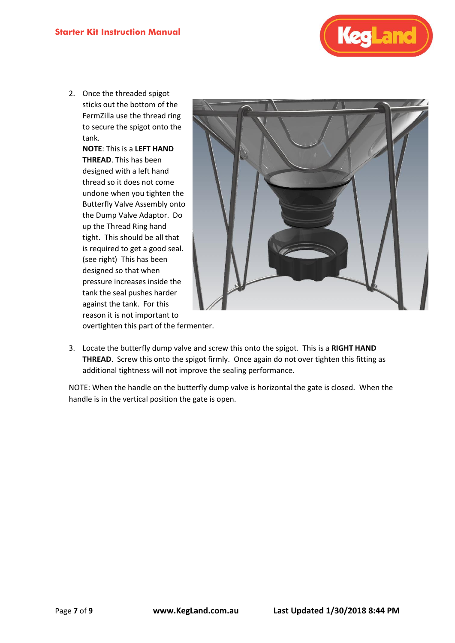

2. Once the threaded spigot sticks out the bottom of the FermZilla use the thread ring to secure the spigot onto the tank.

> **NOTE**: This is a **LEFT HAND THREAD**. This has been designed with a left hand thread so it does not come undone when you tighten the Butterfly Valve Assembly onto the Dump Valve Adaptor. Do up the Thread Ring hand tight. This should be all that is required to get a good seal. (see right) This has been designed so that when pressure increases inside the tank the seal pushes harder against the tank. For this reason it is not important to



overtighten this part of the fermenter.

3. Locate the butterfly dump valve and screw this onto the spigot. This is a **RIGHT HAND THREAD**. Screw this onto the spigot firmly. Once again do not over tighten this fitting as additional tightness will not improve the sealing performance.

NOTE: When the handle on the butterfly dump valve is horizontal the gate is closed. When the handle is in the vertical position the gate is open.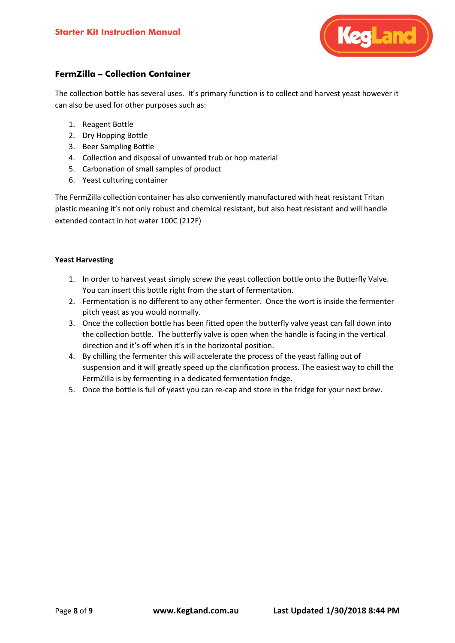

## **FermZilla – Collection Container**

The collection bottle has several uses. It's primary function is to collect and harvest yeast however it can also be used for other purposes such as:

- 1. Reagent Bottle
- 2. Dry Hopping Bottle
- 3. Beer Sampling Bottle
- 4. Collection and disposal of unwanted trub or hop material
- 5. Carbonation of small samples of product
- 6. Yeast culturing container

The FermZilla collection container has also conveniently manufactured with heat resistant Tritan plastic meaning it's not only robust and chemical resistant, but also heat resistant and will handle extended contact in hot water 100C (212F)

#### **Yeast Harvesting**

- 1. In order to harvest yeast simply screw the yeast collection bottle onto the Butterfly Valve. You can insert this bottle right from the start of fermentation.
- 2. Fermentation is no different to any other fermenter. Once the wort is inside the fermenter pitch yeast as you would normally.
- 3. Once the collection bottle has been fitted open the butterfly valve yeast can fall down into the collection bottle. The butterfly valve is open when the handle is facing in the vertical direction and it's off when it's in the horizontal position.
- 4. By chilling the fermenter this will accelerate the process of the yeast falling out of suspension and it will greatly speed up the clarification process. The easiest way to chill the FermZilla is by fermenting in a dedicated fermentation fridge.
- 5. Once the bottle is full of yeast you can re-cap and store in the fridge for your next brew.